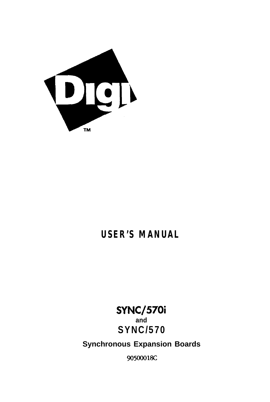

# **USER'S MANUAL**

# **SYNC/570i and SYNC/570**

**Synchronous Expansion Boards**

**90500018C**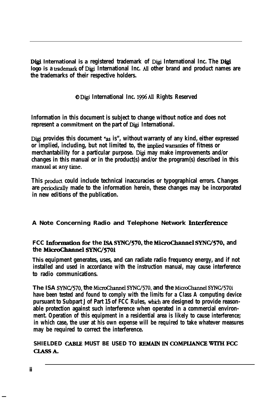**Digi** International is a registered trademark of Digi International Inc. The Digi logo is a trademark of Digi International Inc. All other brand and product names are **the trademarks of their respective holders.**

**C** Digi International Inc. 1996 All Rights Reserved

**Information in this document is subject to change without notice and does not represent a commitment on the part of Digi International.**

**Digi provides this document =as is", without warranty of any kind, either expressed or implied, including, but not limited to, the implied wananties of fitness or merchantability for a particular purpose. Digi may make improvements and/or changes in this manual or in the product(s) and/or the program(s) described in this manualatanytime.**

This product could include technical inaccuracies or typographical errors. Changes **are pericxiically made to the information herein, these changes may be incorporated in new editions of the publication.**

**A Note Concerning Radio and Telephone Network Interference**

#### FCC Information for the ISA SYNC/570, the MicroChannel SYNC/570, and **the Miaochannel SYNC/57Oi**

**This equipment generates, uses, and can radiate radio frequency energy, and if not installed and used in accordance with the instruction manual, may cause interference to radio communications.**

**The ISA SYIW570, the MicroChannel SYIW570, and the MicroChannel SYNC/57Oi have been tested and found to comply with the limits for a Class A computing device** pursuant to Subpart J of Part 15 of FCC Rules, which are designed to provide reason**able protection against such interference when operated in a commercial environment. Operation of this equipment in a residential area is likely to cause interference; in which case, the user at his own expense will be required to take whatever measures may be required to correct the interference.**

#### SHIELDED **CABLE** MUST BE USED TO **REMAIN IN COMPLIANCE WITH FCC CLASSA.**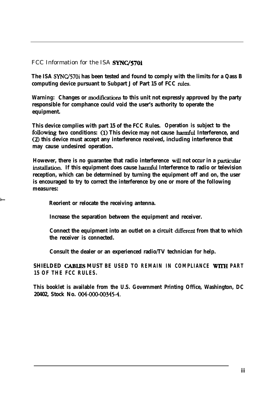FCC Information for the ISA **SYNC/5701** 

**The ISA SYNC/57Oi has been tested and found to comply with the limits for a Qass B computing device pursuant to Subpart J of Part 15 of FCC rules.**

**Warning: Changes or modifications to this unit not expressly approved by the party responsible for comphance could void the user's authority to operate the equipment.**

**This device complies with part 15 of the FCC Rules. Operation is subject to the foIIowing two conditions: (1) This device may not cause harmfuI Interference, and (2) this device must accept any interference received, including interference that may cause undesired operation.**

However, there is no guarantee that radio interference will not occur in a particular **installation. If this equipment does cause harmfuI Interference to radio or television reception, which can be determined by turning the equipment off and on, the user is encouraged to try to correct the interference by one or more of the following measures:**

**Reorient or relocate the receiving antenna.**

L

**Increase the separation between the equipment and receiver.**

**Connect the equipment into an outlet on a circuit different from that to which the receiver is connected.**

**Consult the dealer or an experienced radio/TV technician for help.**

**SHIELDED CABLES MUST BE USED TO REMAIN IN COMPLIANCE WITH PART 15 OF THE FCC RULES.**

**This booklet is available from the U.S. Government Printing Office, Washington, DC 20402, Stock No. 004-OOO-OO34S-4.**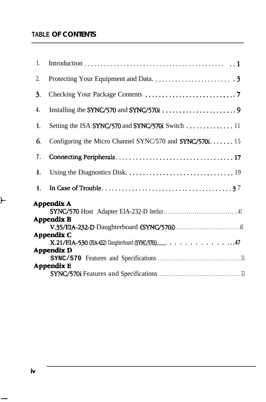# **TABLE OF CONTENTS**

| 1. |                                                         |
|----|---------------------------------------------------------|
| 2. |                                                         |
| 3. |                                                         |
| 4. |                                                         |
| 5. |                                                         |
| 6. | Configuring the Micro Channel SYNC/570 and SYNC/570i 15 |
| 7. |                                                         |
| 8. |                                                         |
| 9. |                                                         |
|    | Appendix A<br>Appendix B<br>Appendix C<br>Appendix D    |
|    | Appendix E                                              |

 $\leftarrow$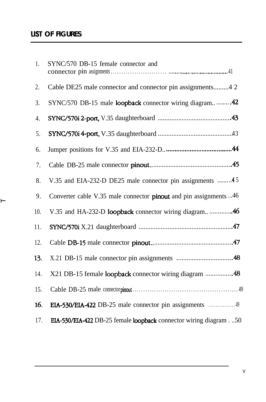$\vdash$ 

| 1.  | SYNC/570 DB-15 female connector and                                      |
|-----|--------------------------------------------------------------------------|
| 2.  | Cable DE25 male connector and connector pin assignments4 2               |
| 3.  | SYNC/570 DB-15 male loopback connector wiring diagram42                  |
| 4.  |                                                                          |
| 5.  |                                                                          |
| 6.  |                                                                          |
| 7.  |                                                                          |
| 8.  | V.35 and EIA-232-D DE25 male connector pin assignments 45                |
| 9.  | Converter cable V.35 male connector <b>pinout</b> and pin assignments 46 |
| 10. |                                                                          |
| 11. |                                                                          |
| 12. |                                                                          |
| 13. |                                                                          |
| 14. | X21 DB-15 female loopback connector wiring diagram 48                    |
| 15. |                                                                          |
| 16. | <b>EIA-530/EIA-422</b> DB-25 male connector pin assignments $\cdots$     |
| 17. | EIA-530/EIA-422 DB-25 female loopback connector wiring diagram. 50       |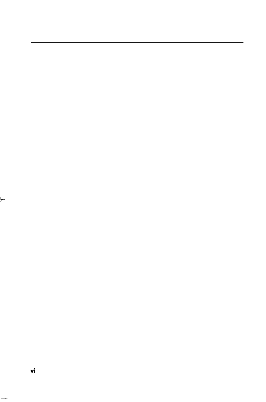vi

⊢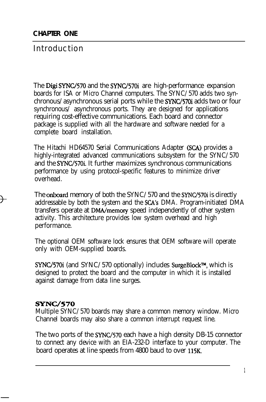# Introduction

The Digi SYNC/570 and the SYNC/570i are high-performance expansion boards for ISA or Micro Channel computers. The SYNC/570 adds two synchronous/asynchronous serial ports while the SYNC/570i adds two or four synchronous/ asynchronous ports. They are designed for applications requiring cost-effective communications. Each board and connector package is supplied with all the hardware and software needed for a complete board installation.

The Hitachi HD64570 Serial Communications Adapter (SCA) provides a highly-integrated advanced communications subsystem for the SYNC/570 and the SYNC/570i. It further maximizes synchronous communications performance by using protocol-specific features to minimize driver overhead.

The **onboard** memory of both the SYNC/570 and the SYNC/570 is directly addressable by both the system and the SCA's DMA. Program-initiated DMA transfers operate at DMA/memory speed independently of other system activity. This architecture provides low system overhead and high performance.

The optional OEM software lock ensures that OEM software will operate only with OEM-supplied boards.

**SYNC/570i** (and SYNC/570 optionally) includes **SurgeBlock<sup>TM</sup>**, which is designed to protect the board and the computer in which it is installed against damage from data line surges.

#### SYNC/S70

Multiple SYNC/570 boards may share a common memory window. Micro Channel boards may also share a common interrupt request line.

The two ports of the SYNC/570 each have a high density DB-15 connector to connect any device with an EIA-232-D interface to your computer. The board operates at line speeds from 4800 baud to over 115K.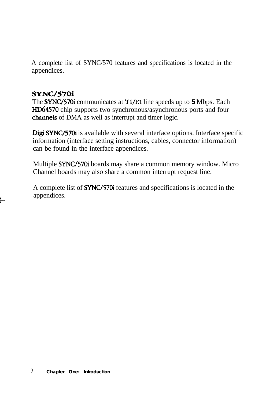A complete list of SYNC/570 features and specifications is located in the appendices.

#### **SYNC/570i**

 $\vdash$ 

The **SYNC/570i** communicates at **T1/E1** line speeds up to 5 Mbps. Each HI64570 chip supports two synchronous/asynchronous ports and four channels of DMA as well as interrupt and timer logic.

Digi SYNC/57Oi is available with several interface options. Interface specific information (interface setting instructions, cables, connector information) can be found in the interface appendices.

Multiple SYNC/57Oi boards may share a common memory window. Micro Channel boards may also share a common interrupt request line.

A complete list of SYNC/57Oi features and specifications is located in the appendices.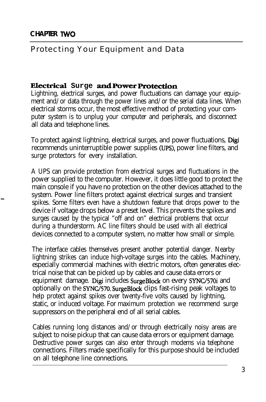# Protecting Your Equipment and Data

#### **Electrical Surge and Power Protection**

Lightning, electrical surges, and power fluctuations can damage your equipment and/or data through the power lines and/or the serial data lines. When electrical storms occur, the most effective method of protecting your computer system is to unplug your computer and peripherals, and disconnect all data and telephone lines.

To protect against lightning, electrical surges, and power fluctuations, Digi recommends uninterruptible power supplies CUPS), power line filters, and surge protectors for every installation.

A UPS can provide protection from electrical surges and fluctuations in the power supplied to the computer. However, it does little good to protect the main console if you have no protection on the other devices attached to the system. Power line filters protect against electrical surges and transient spikes. Some filters even have a shutdown feature that drops power to the device if voltage drops below a preset level. This prevents the spikes and surges caused by the typical "off and on" electrical problems that occur during a thunderstorm. AC line filters should be used with all electrical devices connected to a computer system, no matter how small or simple.

The interface cables themselves present another potential danger. Nearby lightning strikes can induce high-voltage surges into the cables. Machinery, especially commercial machines with electric motors, often generates electrical noise that can be picked up by cables and cause data errors or equipment damage. Digi includes SurgeBlock on every SYNC/570i and optionally on the SYNC/570. SurgeBlock clips fast-rising peak voltages to help protect against spikes over twenty-five volts caused by lightning, static, or induced voltage. For maximum protection we recommend surge suppressors on the peripheral end of all serial cables.

Cables running long distances and/or through electrically noisy areas are subject to noise pickup that can cause data errors or equipment damage. Destructive power surges can also enter through modems via telephone connections. Filters made specifically for this purpose should be included on all telephone line connections.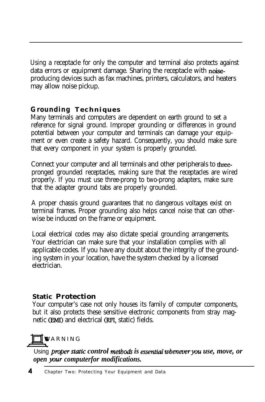Using a receptacle for only the computer and terminal also protects against data errors or equipment damage. Sharing the receptacle with noiseproducing devices such as fax machines, printers, calculators, and heaters may allow noise pickup.

### **Grounding Techniques**

Many terminals and computers are dependent on earth ground to set a reference for signal ground. Improper grounding or differences in ground potential between your computer and terminals can damage your equipment or even create a safety hazard. Consequently, you should make sure that every component in your system is properly grounded.

Connect your computer and all terminals and other peripherals to threepronged grounded receptacles, making sure that the receptacles are wired properly. If you must use three-prong to two-prong adapters, make sure that the adapter ground tabs are properly grounded.

A proper chassis ground guarantees that no dangerous voltages exist on terminal frames. Proper grounding also helps cancel noise that can otherwise be induced on the frame or equipment.

Local electrical codes may also dictate special grounding arrangements. Your electrician can make sure that your installation complies with all applicable codes. If you have any doubt about the integrity of the grounding system in your location, have the system checked by a licensed electrician.

# **Static Protection**

Your computer's case not only houses its family of computer components, but it also protects these sensitive electronic components from stray magnetic (EMI) and electrical (RFI, static) fields.

# **&ILL**WARNING

Using *proper static control methods is essential whenever you use, move, or open your computerfor modifications.*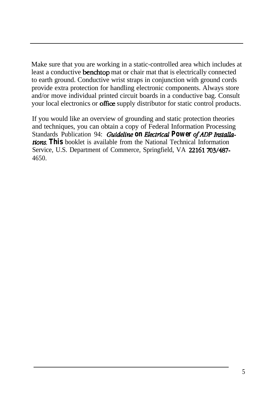Make sure that you are working in a static-controlled area which includes at least a conductive benchtop mat or chair mat that is electrically connected to earth ground. Conductive wrist straps in conjunction with ground cords provide extra protection for handling electronic components. Always store and/or move individual printed circuit boards in a conductive bag. Consult your local electronics or office supply distributor for static control products.

If you would like an overview of grounding and static protection theories and techniques, you can obtain a copy of Federal Information Processing Standards Publication 94: Guideline on Electrical Power of ADP Installa*tfons. This* booklet is available from the National Technical Information Service, U.S. Department of Commerce, Springfield, VA 22161 703/487-4650.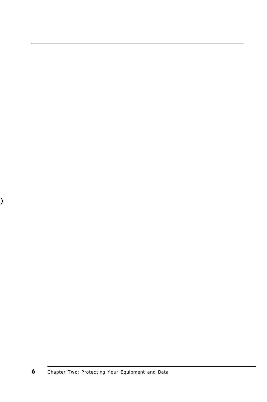6 Chapter Two: Protecting Your Equipment and Data

 $\leftarrow$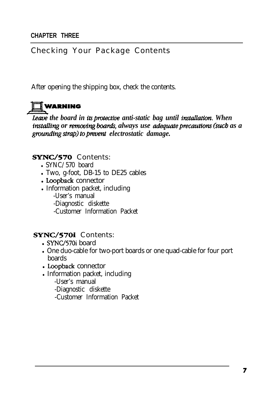### **CHAPTER THREE**

# Checking Your Package Contents

After opening the shipping box, check the contents.

# **ALL**WARNING

Leave the board in its protective anti-static bag until installation. When *tnstalling or removing boards, always use adequate precautions (such as a grounding strap)* to prevent electrostatic damage.

### **SYNC/570** Contents:

- $\cdot$  SYNC/570 board
- Two, g-foot, DB-15 to DE25 cables
- Loopback connector
- Information packet, including -User's manual -Diagnostic diskette -Customer Information Packet

### SYNC/57Oi Contents:

- SYNC/570i board
- One duo-cable for two-port boards or one quad-cable for four port boards
- Loopback connector
- Information packet, including
	- -User's manual
	- -Diagnostic diskette
	- -Customer Information Packet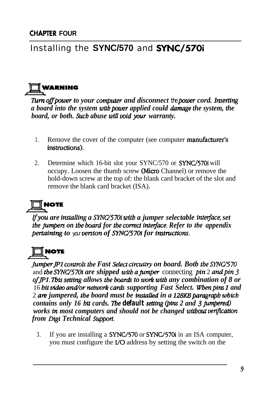# Installing the **SYNC/570** and **SYNC/57Oi**



**Turn off power to your computer and disconnect the power cord. Inserting** *a board into the system with power applied could damage the system, the board, or both. Such abuse will void your warranty.* 

- 1. Remove the cover of the computer (see computer manufacturer's instructions).
- 2. Determine which 16-bit slot your SYNC/570 or SYNC/57Oi will occupy. Loosen the thumb screw Micro Channel) or remove the hold-down screw at the top of: the blank card bracket of the slot and remove the blank card bracket (ISA).

**23s**NOTE

If you are installing a SYNC/570i with a jumper selectable interface, set *the jumpers on the board for the correct interface. Refer to the appendix pertaining to your version of SYNC/570i for instructions.* 

# **SL**NOTE

*Jumper JP1* controls the Fast Select circuitry on board. Botb the SYNC/570 and *the* SYNC/570*i* are shipped with a *fumper* connecting pin 2 and pin 3 *of JP1. This setting allows the boards to work with any combination of 8 or* 16 *bit video and/or network cards supporting Fast Select. When pins* 1 and 2 are jumpered, the board must be installed in a 128KB paragraph which *contains only 16 bit cards. The default setting (pins 2 and 3 <i>jumpered) works in most computers and should not be changed without verification from Dtgi Technical Suppott.*

3. If you are installing a SYNC/570 or SYNC/570i in an ISA computer, you must configure the I/O address by setting the switch on the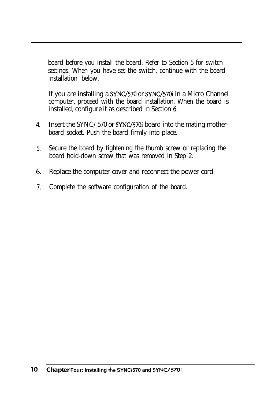board before you install the board. Refer to Section 5 for switch settings. When you have set the switch, continue with the board installation below.

If you are installing a SYNC/570 or SYNC/57Oi in a Micro Channel computer, proceed with the board installation. When the board is installed, configure it as described in Section 6.

- 4. Insert the SYNC/570 or SYNC/57Oi board into the mating motherboard socket. Push the board firmly into place.
- 5. Secure the board by tightening the thumb screw or replacing the board hold-down screw that was removed in Step 2.
- 6. Replace the computer cover and reconnect the power cord
- 7. Complete the software configuration of the board.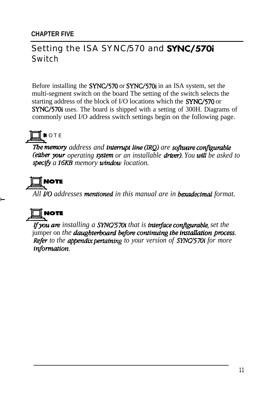# **CHAPTER FIVE**

# Setting the ISA SYNC/570 and **SYNC/570i Switch**

Before installing the SYNC/570 or SYNC/57Oi in an ISA system, set the multi-segment switch on the board The setting of the switch selects the starting address of the block of I/O locations which the SYNC/570 or SYNC/57Oi uses. The board is shipped with a setting of 300H. Diagrams of commonly used I/O address switch settings begin on the following page.

**z**<br> *The memory address and interrupt line**(IRQ) are software configurable***<br>** *The memory address and interrupt line**(IRQ) are software configurable* Ceitber your *operating system or an installable drtverj. You will be asked to* **spectfy** a 16KB memory window location.

# **INOTE**

All *VO* addresses mentioned in this manual are in **bexadecimal** format.



*If you are installing a SYNC/5701 that is interface configurable, set the* jumper on *the daughterboard before continuing the installation process. Refer to the appendix pertaining to your version of SYNC/5701 for more fnformatton.*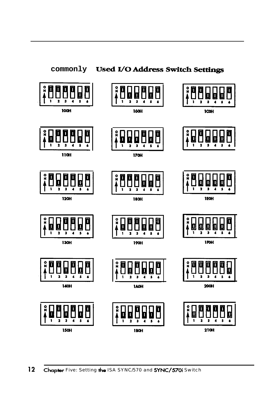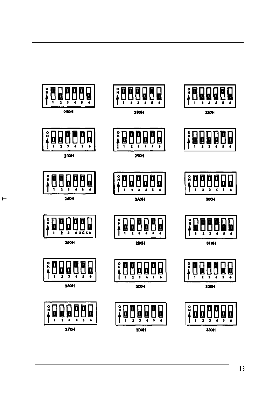

 $\vdash$ 

13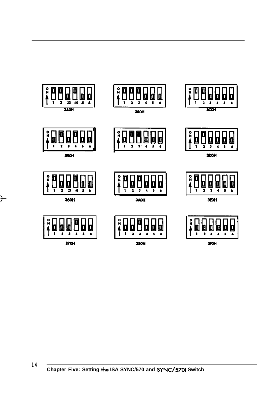

 $\overline{)}$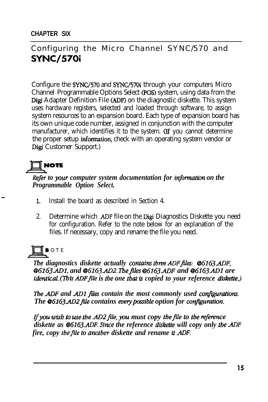### **CHAPTER SIX**

# Configuring the Micro Channel SYNC/570 and SYNC/570i

Configure the **SYNC/570** and **SYNC/570** through your computers Micro Channel Programmable Options Select @OS) system, using data from the Digi Adapter Definition File (ADF) on the diagnostic diskette. This system uses hardware registers, selected and loaded through software, to assign system resources to an expansion board. Each type of expansion board has its own unique code number, assigned in conjunction with the computer manufacturer, which identifies it to the system. (If you cannot determine the proper setup **information**, check with an operating system vendor or Digi Customer Support.)

# $\overline{\phantom{a}}$  **NOTE**

-

#### *Refer to your computer system documentation for information on the Programmable Option Select.*

- **1 .** Install the board as described in Section 4.
- 2. Determine which .ADF file on the Digi Diagnostics Diskette you need for configuration. Refer to the note below for an explanation of the files. If necessary, copy and rename the file you need.

# ,qNOTE

*The diagnostics diskette actually contains three ADF files: @6163.ADF, @6163.4X, and @6163.AD2. Thefiles @GlG3ADF and @6163ALIl are identical. (This ADF file is the one that is copied to your reference diskette.)* 

*The ADF and AD1 files contain the most commonly used configurations.* The @6163.AD2 file contains every possible option for configuration.

If you wish to use the *AD2* file, you must copy the file to the reference *diskette as @6163\_ALIF. Since the reference dtikette will copy only the ALIF fire, copy the file to another diskette and rename it ADF.*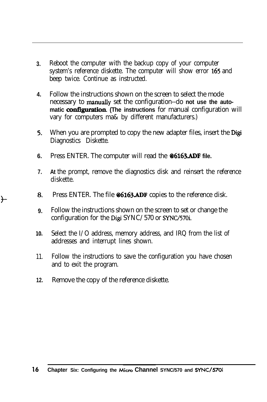- **3.** Reboot the computer with the backup copy of your computer system's reference diskette. The computer will show error 165 and beep twice. Continue as instructed.
- **4.** Follow the instructions shown on the screen to select the mode necessary to manuaIly set the configuration--do **not use the automatic configuration. (The instructions** for manual configuration will vary for computers ma& by different manufacturers.)
- s. When you are prompted to copy the new adapter files, insert the **Digi** Diagnostics Diskette.
- **6.** Press ENTER. The computer will read the **@6163.ADP file.**
- **7. At** the prompt, remove the diagnostics disk and reinsert the reference diskette.
- 8. Press ENTER. The file **@6163ADF** copies to the reference disk.
- **9.** Follow the instructions shown on the screen to set or change the configuration for the Digi  $S/NC/570$  or  $S/NC/570i$ .
- **10.** Select the I/O address, memory address, and IRQ from the list of addresses and interrupt lines shown.
- 11. Follow the instructions to save the configuration you have chosen and to exit the program.
- **12.** Remove the copy of the reference diskette.

 $\bm{\mathcal{F}}$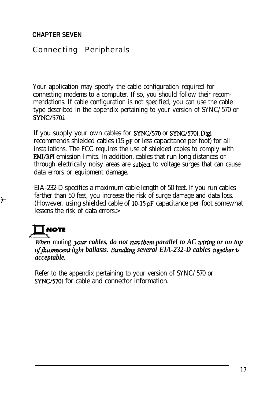#### **CHAPTER SEVEN**

### Connecting Peripherals

Your application may specify the cable configuration required for connecting modems to a computer. If so, you should follow their recommendations. If cable configuration is not specified, you can use the cable type described in the appendix pertaining to your version of SYNC/570 or SYNC/57Oi.

If you supply your own cables for SYNC/570 or SYNC/57Oi, Digi recommends shielded cables (15 pF or less capacitance per foot) for all installations. The FCC requires the use of shielded cables to comply with EMI/RFI emission limits. In addition, cables that run long distances or through electrically noisy areas are subject to voltage surges that can cause data errors or equipment damage.

EIA-232-D specifies a maximum cable length of 50 feet. If you run cables farther than 50 feet, you increase the risk of surge damage and data loss. (However, using shielded cable of  $10-15$  pF capacitance per foot somewhat lessens the risk of data errors  $>$ 

# $\exists$  Note

 $\overline{)}$ 

*W%en* muting your *cables, do not run them parallel to AC wiring or on top of fluorescent light ballasts. Bundling several EIA-232-D cables together is acceptable.*

Refer to the appendix pertaining to your version of SYNC/570 or SYNC/57Oi for cable and connector information.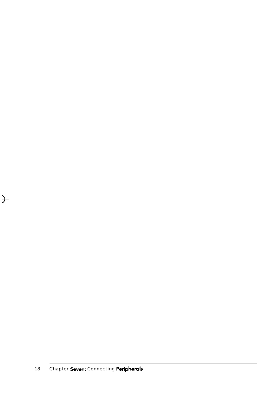$\overline{)}$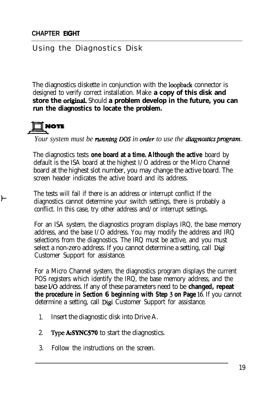# **CHAPTER EGHT**

# Using the Diagnostics Disk

The diagnostics diskette in conjunction with the loopback connector is designed to verify correct installation. Make **a copy of this disk and store the originaL** Should **a problem develop in the future, you can run the diagnostics to locate the problem.**

# **ZEL**NOTE

 $\overline{)}$ 

Your system must be **running DOS** in order to use the diagnostics program.

The diagnostics tests **one board at a time. Although the active** board by default is the ISA board at the highest I/O address or the Micro Channel board at the highest slot number, you may change the active board. The screen header indicates the active board and its address.

The tests will fail if there is an address or interrupt conflict If the diagnostics cannot determine your switch settings, there is probably a conflict. In this case, try other address and/or interrupt settings.

For an ISA system, the diagnostics program displays IRQ, the base memory address, and the base I/O address. You may modify the address and IRQ selections from the diagnostics. The IRQ must be active, and you must select a non-zero address. If you cannot determine a setting, call Digi Customer Support for assistance.

For a Micro Channel system, the diagnostics program displays the current POS registers which identify the IRQ, the base memory address, and the base I/O address. If any of these parameters need to be **changed, repeat the procedure in Section 6 beginning with Step 3 on Page 16.** If you cannot determine a setting, call Digi Customer Support for assistance.

- 1. Insert the diagnostic disk into Drive A.
- 2. Type A:SYNC570 to start the diagnostics.
- 3. Follow the instructions on the screen.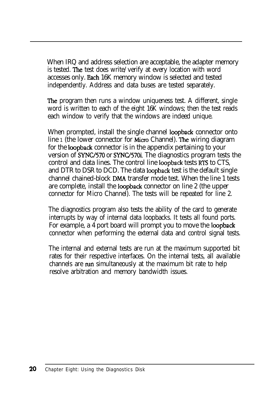When IRQ and address selection are acceptable, the adapter memory is tested. The test does write/verify at every location with word accesses only. Each 16K memory window is selected and tested independently. Address and data buses are tested separately.

The program then runs a window uniqueness test. A different, single word is written to each of the eight 16K windows; then the test reads each window to verify that the windows are indeed unique.

When prompted, install the single channel **loopback** connector onto line 1 (the lower connector for **Micro** Channel). **The** wiring diagram for the loopback connector is in the appendix pertaining to your version of **SYNC/570** or **SYNC/570***i*. The diagnostics program tests the control and data lines. The control line loopback tests RI'S to CTS, and DTR to DSR to DCD. The data loopback test is the default single channel chained-block DMA transfer mode test. When the line 1 tests are complete, install the loopback connector on line 2 (the upper connector for Micro Channel). The tests will be repeated for line 2.

The diagnostics program also tests the ability of the card to generate interrupts by way of internal data loopbacks. It tests all found ports. For example, a 4 port board will prompt you to move the **loopback** connector when performing the external data and control signal tests.

The internal and external tests are run at the maximum supported bit rates for their respective interfaces. On the internal tests, all available channels are  $\boldsymbol{\pi}$  simultaneously at the maximum bit rate to help resolve arbitration and memory bandwidth issues.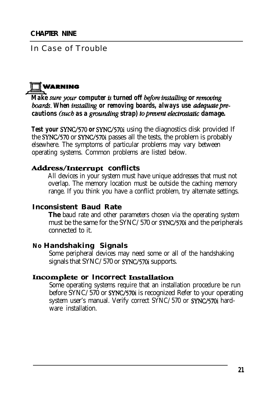# In Case of Trouble

# **BL**WARNING

*Make sum your computer 13 turned off befom hstalltng or nvrwuing* boards. When installing or removing boards, always use adequate pre*cautions (such as a grounding strap) to prevent electrostatic damage.* 

*Test your SYNC/570 or* SYNC/57Oi using the diagnostics disk provided If the SYNC/570 or SYNC/570 passes all the tests, the problem is probably elsewhere. The symptoms of particular problems may vary between operating systems. Common problems are listed below.

#### **Addxess/Interrupt conflicts**

All devices in your system must have unique addresses that must not overlap. The memory location must be outside the caching memory range. If you think you have a conflict problem, try alternate settings.

#### **Inconsistent Baud Rate**

**The** baud rate and other parameters chosen via the operating system must be the same for the SYNC/570 or SYNC/57Oi and the peripherals connected to it.

#### **No Handshaking Signals**

Some peripheral devices may need some or all of the handshaking signals that SYNC/570 or SYNC/570i supports.

### **Incomplete or Incorrect Installation**

Some operating systems require that an installation procedure be run before SYNC/570 or SYNC/570i is recognized Refer to your operating system user's manual. Verify correct SYNC/570 or **SYNC/570i** hardware installation.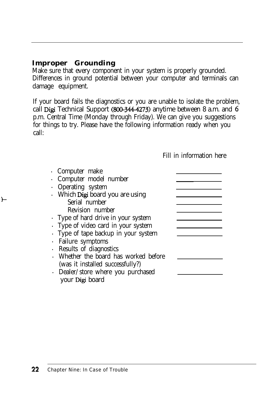### **Improper Grounding**

 $\overline{ }$ 

Make sure that every component in your system is properly grounded. Differences in ground potential between your computer and terminals can damage equipment.

If your board fails the diagnostics or you are unable to isolate the problem, call Digi Technical Support (800-344-4273) anytime between 8 a.m. and 6 p.m. Central Time (Monday through Friday). We can give you suggestions for things to try. Please have the following information ready when you call:

Fill in information here

| • Computer make                      |  |
|--------------------------------------|--|
| Computer model number                |  |
| Operating system                     |  |
| · Which Digi board you are using     |  |
| Serial number                        |  |
| Revision number                      |  |
| • Type of hard drive in your system  |  |
| · Type of video card in your system  |  |
| · Type of tape backup in your system |  |
| · Failure symptoms                   |  |
| . Results of diagnostics             |  |
| Whether the board has worked before  |  |
| (was it installed successfully?)     |  |
| - Dealer/store where you purchased   |  |
| your Digi board                      |  |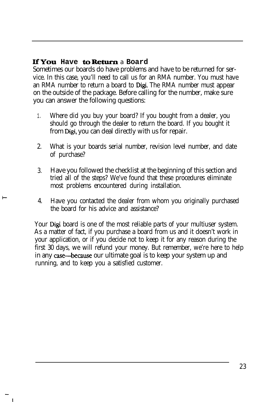#### **IfYou Have** to Return a **Board**

Sometimes our boards do have problems and have to be returned for service. In this case, you'll need to call us for an RMA number. You must have an RMA number to return a board to **Digi**. The RMA number must appear on the outside of the package. Before calling for the number, make sure you can answer the following questions:

- 1. Where did you buy your board? If you bought from a dealer, you should go through the dealer to return the board. If you bought it from Digi, you can deal directly with us for repair.
- 2. What is your boards serial number, revision level number, and date of purchase?
- 3. Have you followed the checklist at the beginning of this section and tried all of the steps? We've found that these procedures eliminate most problems encountered during installation.
- $\overline{4}$ . Have you contacted the dealer from whom you originally purchased the board for his advice and assistance?

Your Digi board is one of the most reliable parts of your multiuser system. As a matter of fact, if you purchase a board from us and it doesn't work in your application, or if you decide not to keep it for any reason during the first 30 days, we will refund your money. But remember, we're here to help in any case—because our ultimate goal is to keep your system up and running, and to keep you a satisfied customer.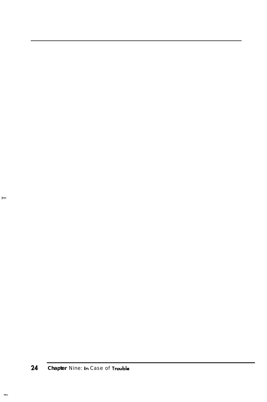$\qquad \qquad$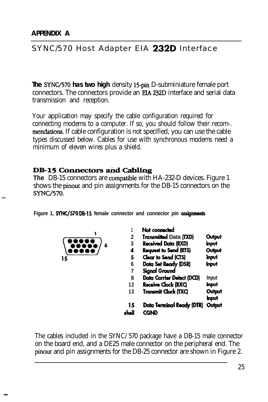# SYNC/570 Host Adapter EIA 232D Interface

The SYNC/570 has two high density 15-pin D-subminiature female port connectors. The connectors provide an EIA 232D interface and serial data transmission and reception.

Your application may specify the cable configuration required for connecting modems to a computer. If so, you should follow their recom-. mendations. If cable configuration is not specified, you can use the cable types discussed below. Cables for use with synchronous modems need a minimum of eleven wires plus a shield.

#### **DB-15 Connectors and Cabling**

The DB-15 connectors are compatible with HA-232-D devices. Figure 1 shows the pinout and pin assignments for the DB-15 connectors on the SYNC/570.

**Figure 1, SYNC/570 DB-15 female connector and connector pin asgnments**



-

|                                                    |       | Not connected                 |                        |
|----------------------------------------------------|-------|-------------------------------|------------------------|
|                                                    | 2     | <b>Transmitted Data (TXD)</b> | Output                 |
| DO<br>$\bullet\bullet\bullet$<br>6<br><b>O O</b> ( | 3     | Received Data (RXD)           | <b>Input</b>           |
| 0                                                  | 4     | <b>Request to Send (RTS)</b>  | Output                 |
| 15                                                 | 5     | Clear to Send (CTS)           | Input                  |
|                                                    | 6     | Data Set Ready (DSR)          | Input                  |
|                                                    | 7     | Signal Ground                 |                        |
|                                                    | 8     | Data Carrier Detect (DCD)     | <b>Input</b>           |
|                                                    | 12    | Receive Clock (RXC)           | Input                  |
|                                                    | 13    | <b>Transmit Clock (TXC)</b>   | Output<br><b>k</b> put |
|                                                    | 15    | Data Terminal Ready (DTR)     | Output                 |
|                                                    | shall | CGND                          |                        |

The cables included in the SYNC/570 package have a DB-15 male connector on the board end, and a DE25 male connector on the peripheral end. The pinout and pin assignments for the DB-25 connector are shown in Figure 2.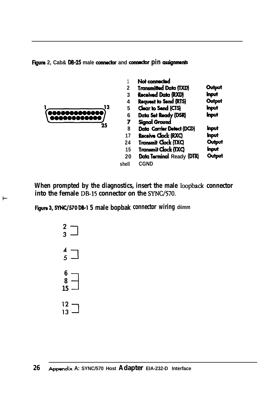Figure 2, Cab& D8-25 male connector and connector pin assignments

|       | Not connected              |                                                                                                                  |
|-------|----------------------------|------------------------------------------------------------------------------------------------------------------|
| 2     | Transmitted Data (TXD)     | Output                                                                                                           |
| 3     | Received Data (RXD)        | <b>Input</b>                                                                                                     |
| 4     |                            | Output                                                                                                           |
| 5     | Clear to Send (CTS)        | <b>input</b>                                                                                                     |
| 6     | Data Set Ready (DSR)       | Input                                                                                                            |
| 7     | Signal Ground              |                                                                                                                  |
| 8     | Data Carrier Detect (DCD)  | <b>Input</b>                                                                                                     |
| 17    | <b>Receive Clock (RXC)</b> | <b>Input</b>                                                                                                     |
| 24    |                            | Output                                                                                                           |
| 15    |                            | <b>Input</b>                                                                                                     |
| 20    |                            | Output                                                                                                           |
| shell | <b>CGND</b>                |                                                                                                                  |
|       |                            | <b>Request to Send (RTS)</b><br><b>Transmit Clock (TXC)</b><br>Transmit Clock (TXC)<br>Data Terminal Ready (DTR) |

**When prompted by the diagnostics, insert the male loopback connector** into the female DB-15 connector on the SYNC/570.

**F&u 3,5YNC/570 D&l 5 male bopbak connector wiring diimm**



⊢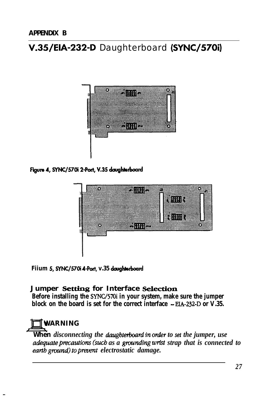# V.35/EIA-232-D Daughterboard (SYNC/570i)



Figure 4, SYNC/570i 2-Port, V.35 daughterboard



Fiium 5, SYNC/570i 4-Port, v.35 daughterboard

#### Jumper Setting for Interface Selection

Before installing the SYNC/570i in your system, make sure the jumper block on the board is set for the correct interface  $-EA-232-D$  or  $V.35$ .

# **WARNING**

When disconnecting the daughterboard in order to set the jumper, use adequate precautions (such as a grounding wrist strap that is connected to earth ground) to prevent electrostatic damage.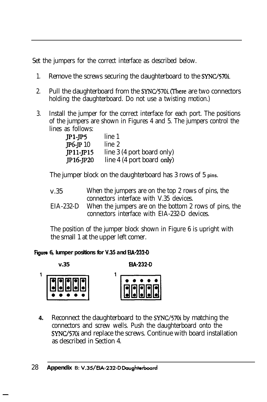Set the jumpers for the correct interface as described below.

- 1. Remove the screws securing the daughterboard to the SYNC/57Oi.
- 2. Pull the daughterboard from the SYNC/570i. (There are two connectors holding the daughterboard. Do not use a twisting motion.)
- 3. Install the jumper for the correct interface for each port. The positions of the jumpers are shown in Figures 4 and 5. The jumpers control the lines as follows:

| $JP1-JP5$   | line 1                     |
|-------------|----------------------------|
| JP6-JP 10   | line 2                     |
| $JPI1-IPI5$ | line 3 (4 port board only) |
| JP16-JP20   | line 4 (4 port board only) |

The jumper block on the daughterboard has 3 rows of 5 **pins.**

| v.35 | When the jumpers are on the top 2 rows of pins, the |  |
|------|-----------------------------------------------------|--|
|      | connectors interface with V.35 devices.             |  |

EIA-232-D When the jumpers are on the bottom 2 rows of pins, the connectors interface with EIA-232-D devices.

The position of the jumper block shown in Figure 6 is upright with the small 1 at the upper left comer.

Figure 6, lumper positions for **V.35** and EIA-232-D



4. Reconnect the daughterboard to the **SYNC/570i** by matching the connectors and screw wells. Push the daughterboard onto the SYNC/57Oi and replace the screws. Continue with board installation as described in Section 4.

-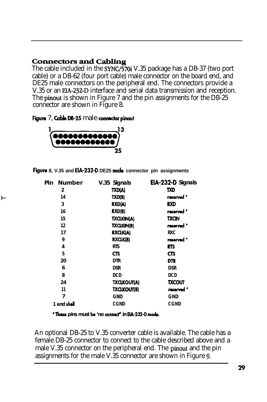#### **Connectors and Cabling**

The cable included in the **SYNC/570i** V.35 package has a DB-37 (two port cable) or a DB-62 (four port cable) male connector on the board end, and DE25 male connectors on the peripheral end. The connectors provide a V.35 or an EIA-232-D interface and serial data transmission and reception. The pinout is shown in Figure 7 and the pin assignments for the DB-25 connector are shown in Figure 8.

Figure 7, Cable DB-25 male connector pinout



Figure 8, V.35 and EIA-232-D DE25 male connector pin assignments

| Pin | <b>Number</b> | V.35 Signals       | <b>EIA-232-D</b> Signals |
|-----|---------------|--------------------|--------------------------|
|     | 2             | <b>TXD(A)</b>      | סגד                      |
|     | 14            | <b>TXD(B)</b>      | reserved *               |
|     | 3             | <b>RXD(A)</b>      | RXD                      |
|     | 16            | RXD(B)             | reserved *               |
|     | 15            | <b>TXCLKIN(A)</b>  | TXCIN                    |
|     | 12            | <b>TXCLKIN(B)</b>  | reserved *               |
|     | 17            | <b>RXCLK(A)</b>    | <b>RXC</b>               |
|     | 9             | <b>RXCLK(B)</b>    | reserved                 |
|     | 4             | <b>RTS</b>         | <b>RTS</b>               |
|     | 5             | CTS                | <b>CTS</b>               |
|     | 20            | DTR                | DTR                      |
|     | 6             | <b>DSR</b>         | <b>DSR</b>               |
|     | 8             | <b>DCD</b>         | DCD                      |
|     | 24            | <b>TXCLKOUT(A)</b> | TXCOUT                   |
|     | 11            | <b>TXCLKOUT(B)</b> | reserved *               |
|     | 7             | <b>GND</b>         | GND                      |
|     | 1 and shell   | CGND               | CGND                     |
|     |               |                    |                          |

\* These pins must be 'no connect" in EIA-232-D mode.

An optional DB-25 to V.35 converter cable is available. The cable has a female DB-25 connector to connect to the cable described above and a male V.35 connector on the peripheral end. The pinout and the pin assignments for the male  $V.\overline{35}$  connector are shown in Figure 9.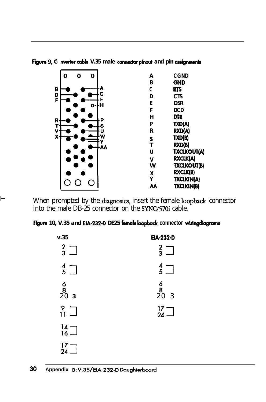

Figure 9, C nverter cable V.35 male connector pinout and pin assignments

When prompted by the diagnosics, insert the female loopback connector into the male DB-25 connector on the SYNC/570i cable.





⊢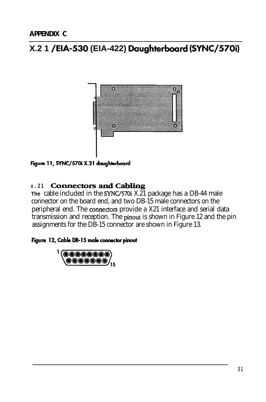# **X.2 1 /EIA-530 (EIA-422) Daughterboard (SYNC/57Oi)**



Figure 11, SYNC/570i X.21 daughterboard

### **x.21 Connectors and Cabling**

The cable included in the SYNC/570i X.21 package has a DB-44 male connector on the board end, and two DB-15 male connectors on the peripheral end. The connectors provide a X21 interface and serial data transmission and reception. The pinout is shown in Figure 12 and the pin assignments for the DB-15 connector are shown in Figure 13.

#### Fgum **12,CabkDB-15makconnechx pinout**

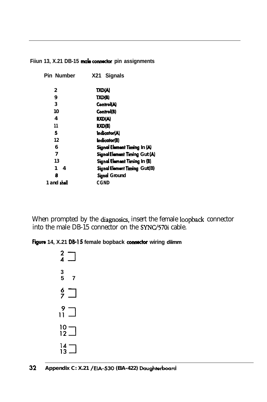|  |  |  |  |  |  | Fiiun 13, X.21 DB-15 male connector pin assignments |
|--|--|--|--|--|--|-----------------------------------------------------|
|--|--|--|--|--|--|-----------------------------------------------------|

| <b>Pin Number</b> | <b>Signals</b><br>X21                 |
|-------------------|---------------------------------------|
|                   |                                       |
| 2                 | TXD(A)                                |
| 9                 | TXD(B)                                |
| 3                 | <b>Control(A)</b>                     |
| 10                | Control(B)                            |
| 4                 | <b>RXD(A)</b>                         |
| 11                | <b>RXD(B)</b>                         |
| s                 | Indicator(A)                          |
| 12                | Indicator(B)                          |
| 6                 | <b>Signal Element Timing In (A)</b>   |
| 7                 | Signal Element Timing Gut (A)         |
| 13                | Signal Element Timing In (B)          |
| 1<br>4            | <b>Signal Element Timing</b> $Gut(B)$ |
| 8                 | <b>Signal</b> Ground                  |
| 1 and shell       | CGND                                  |

When prompted by the diagnosics, insert the female loopback connector into the male DB-15 connector on the SYNC/570i cable.

Figure 14, X.21 DB-15 female bopback connector wiring diimm

| $\frac{2}{4}$       |  |
|---------------------|--|
| $\frac{3}{5}$       |  |
| 6<br>7              |  |
| $\frac{9}{11}$      |  |
| 10 —<br>12 —        |  |
| $\frac{14}{13}$ $-$ |  |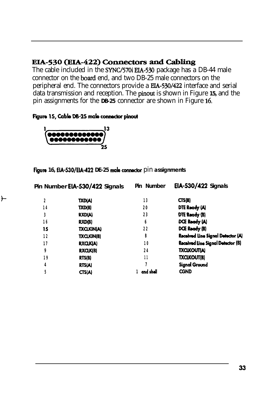# EIA-530 (EIA-422) Connectors and Cabling

The cable included in the SYNC/570i EIA-530 package has a DB-44 male connector on the **board** end, and two DB-25 male connectors on the peripheral end. The connectors provide a EIA-530/422 interface and serial data transmission and reception. The pinout is shown in Figure 15, and the pin assignments for the DB-25 connector are shown in Figure 16.

#### Figure 15, Cable DB-25 male connector pinout



⊢

Figure 16, EIA-530/EIA-422 DE-25 male connector pin assignments

| Pin Number EIA-530/422 Signals |                   | Pin Number | <b>EIA-530/422 Signals</b>        |
|--------------------------------|-------------------|------------|-----------------------------------|
| $\overline{2}$                 | <b>TXD(A)</b>     | 13         | CTS(B)                            |
| 14                             | <b>TXD(B)</b>     | 20         | DTE Ready (A)                     |
| 3                              | <b>RXD(A)</b>     | 23         | DTE Ready (B)                     |
| 16                             | <b>RXD(B)</b>     | 6          | DCE Ready (A)                     |
| 15                             | <b>TXCLKIN(A)</b> | 22         | DCE Roady (B)                     |
| 12                             | <b>TXCLKIN(B)</b> | B          | Received Line Signal Detector (A) |
| 17                             | <b>RXCLKIA</b>    | 10         | Received Line Signal Detector (B) |
| 9                              | <b>RXCLK(B)</b>   | 24         | <b>TXCLKOUTIAI</b>                |
| 19                             | RTS(B)            | 11         | <b>TXCLKOUT(B)</b>                |
| 4                              | <b>RTS(A)</b>     | 7          | <b>Signal Ground</b>              |
| 5                              | <b>CTS(A)</b>     | and shell  | <b>CGND</b>                       |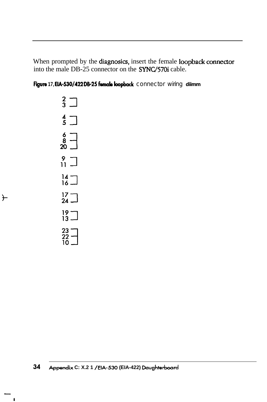When prompted by the diagnosics, insert the female loopback connector into the male DB-25 connector on the SYNC/570i cable.

Figure 17, EIA-530/422DB-25 female loopback connector wiring diimm



 $\leftarrow$ 

 $\blacksquare$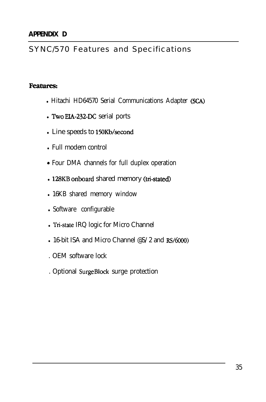#### **APPENDIX D**

# SYNC/570 Features and Specifications

#### **Features:**

- Hitachi HD64570 Serial Communications Adapter (SCA)
- Two EIA-232-DC serial ports
- Line speeds to 150Kb/second
- Full modem control
- 0 Four DMA channels for full duplex operation
- 128KB onboard shared memory (tri-stated)
- 16KB shared memory window
- Software configurable
- Tri-state IRQ logic for Micro Channel
- 16-bit ISA and Micro Channel  $\mathcal{Q}S/2$  and RS/6000)
- . OEM software lock
- . Optional SurgeBlock surge protection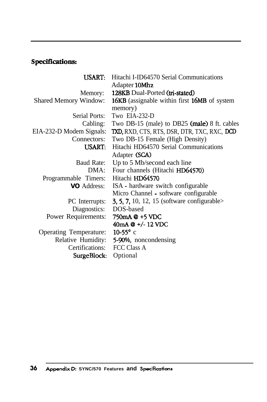# specifications:

| Hitachi I-ID64570 Serial Communications                              |
|----------------------------------------------------------------------|
| Adapter 10Mhz                                                        |
| 128KB Dual-Ported (tri-stated)                                       |
| <b>16KB</b> (assignable within first <b>16MB</b> of system           |
| memory)                                                              |
| Two EIA-232-D                                                        |
| Two DB-15 (male) to DB25 (male) 8 ft. cables                         |
| <b>TXD, RXD, CTS, RTS, DSR, DTR, TXC, RXC, DCD</b>                   |
| Two DB-15 Female (High Density)                                      |
| Hitachi HD64570 Serial Communications<br><b>USART:</b>               |
| Adapter (SCA)                                                        |
| Baud Rate: Up to 5 Mb/second each line                               |
| DMA: Four channels (Hitachi HD64570)                                 |
| Hitachi HD64570                                                      |
| ISA - hardware switch configurable                                   |
| Micro Channel - software configurable                                |
| <b>3, 5, 7,</b> 10, 12, 15 (software configurable><br>PC Interrupts: |
| DOS-based                                                            |
| 750mA @ +5 VDC                                                       |
| $40mA @ +/- 12 VDC$                                                  |
| $10-55$ ° c                                                          |
| Relative Humidity: 5-90%, noncondensing                              |
| Certifications: FCC Class A                                          |
| SurgeBlock:<br>Optional                                              |
|                                                                      |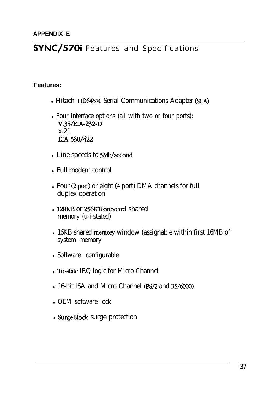# **SYNC/570i** Features and Specifications

#### **Features:**

- Hitachi HD64570 Serial Communications Adapter (SCA)
- Four interface options (all with two or four ports): V.35/EIA-232-D x.21 EIA-530/422
- Line speeds to 5Mb/second
- Full modem control
- Four (2 port) or eight (4 port) DMA channels for full duplex operation
- 128KB or 256KB onboard shared memory (u-i-stated)
- 16KB shared memory window (assignable within first 16MB of system memory
- Software configurable
- Tri-state IRQ logic for Micro Channel
- 16-bit ISA and Micro Channel (PS/2 and RS/6000)
- OEM software lock
- SurgeBlock surge protection